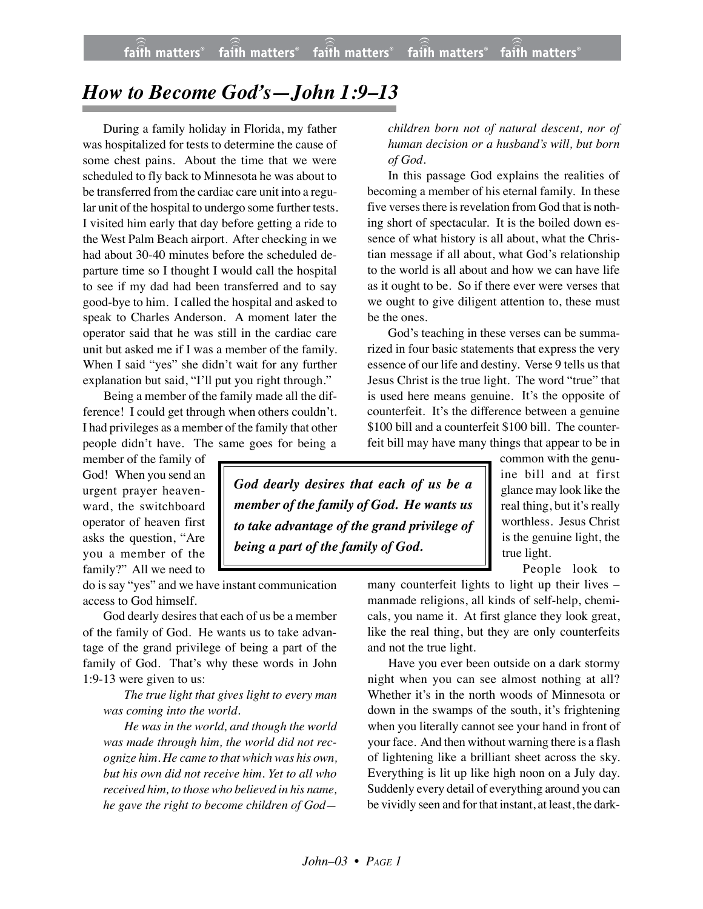## *How to Become God's—John 1:9–13*

During a family holiday in Florida, my father was hospitalized for tests to determine the cause of some chest pains. About the time that we were scheduled to fly back to Minnesota he was about to be transferred from the cardiac care unit into a regular unit of the hospital to undergo some further tests. I visited him early that day before getting a ride to the West Palm Beach airport. After checking in we had about 30-40 minutes before the scheduled departure time so I thought I would call the hospital to see if my dad had been transferred and to say good-bye to him. I called the hospital and asked to speak to Charles Anderson. A moment later the operator said that he was still in the cardiac care unit but asked me if I was a member of the family. When I said "yes" she didn't wait for any further explanation but said, "I'll put you right through."

Being a member of the family made all the difference! I could get through when others couldn't. I had privileges as a member of the family that other people didn't have. The same goes for being a

member of the family of God! When you send an urgent prayer heavenward, the switchboard operator of heaven first asks the question, "Are you a member of the family?" All we need to

do is say "yes" and we have instant communication access to God himself.

God dearly desires that each of us be a member of the family of God. He wants us to take advantage of the grand privilege of being a part of the family of God. That's why these words in John 1:9-13 were given to us:

*The true light that gives light to every man was coming into the world.*

*He was in the world, and though the world was made through him, the world did not recognize him. He came to that which was his own, but his own did not receive him. Yet to all who received him, to those who believed in his name, he gave the right to become children of God—*

*children born not of natural descent, nor of human decision or a husband's will, but born of God.*

In this passage God explains the realities of becoming a member of his eternal family. In these five verses there is revelation from God that is nothing short of spectacular. It is the boiled down essence of what history is all about, what the Christian message if all about, what God's relationship to the world is all about and how we can have life as it ought to be. So if there ever were verses that we ought to give diligent attention to, these must be the ones.

God's teaching in these verses can be summarized in four basic statements that express the very essence of our life and destiny. Verse 9 tells us that Jesus Christ is the true light. The word "true" that is used here means genuine. It's the opposite of counterfeit. It's the difference between a genuine \$100 bill and a counterfeit \$100 bill. The counterfeit bill may have many things that appear to be in

*God dearly desires that each of us be a member of the family of God. He wants us to take advantage of the grand privilege of being a part of the family of God.*

common with the genuine bill and at first glance may look like the real thing, but it's really worthless. Jesus Christ is the genuine light, the true light.

People look to

many counterfeit lights to light up their lives – manmade religions, all kinds of self-help, chemicals, you name it. At first glance they look great, like the real thing, but they are only counterfeits and not the true light.

Have you ever been outside on a dark stormy night when you can see almost nothing at all? Whether it's in the north woods of Minnesota or down in the swamps of the south, it's frightening when you literally cannot see your hand in front of your face. And then without warning there is a flash of lightening like a brilliant sheet across the sky. Everything is lit up like high noon on a July day. Suddenly every detail of everything around you can be vividly seen and for that instant, at least, the dark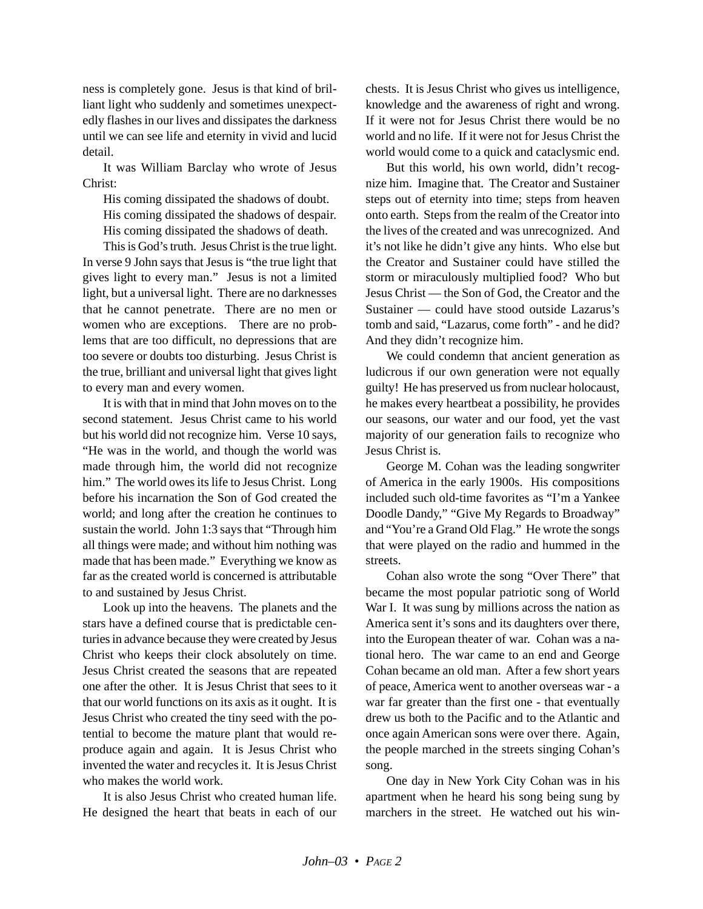ness is completely gone. Jesus is that kind of brilliant light who suddenly and sometimes unexpectedly flashes in our lives and dissipates the darkness until we can see life and eternity in vivid and lucid detail.

It was William Barclay who wrote of Jesus Christ:

His coming dissipated the shadows of doubt. His coming dissipated the shadows of despair. His coming dissipated the shadows of death.

This is God's truth. Jesus Christ is the true light. In verse 9 John says that Jesus is "the true light that gives light to every man." Jesus is not a limited light, but a universal light. There are no darknesses that he cannot penetrate. There are no men or women who are exceptions. There are no problems that are too difficult, no depressions that are too severe or doubts too disturbing. Jesus Christ is the true, brilliant and universal light that gives light to every man and every women.

It is with that in mind that John moves on to the second statement. Jesus Christ came to his world but his world did not recognize him. Verse 10 says, "He was in the world, and though the world was made through him, the world did not recognize him." The world owes its life to Jesus Christ. Long before his incarnation the Son of God created the world; and long after the creation he continues to sustain the world. John 1:3 says that "Through him all things were made; and without him nothing was made that has been made." Everything we know as far as the created world is concerned is attributable to and sustained by Jesus Christ.

Look up into the heavens. The planets and the stars have a defined course that is predictable centuries in advance because they were created by Jesus Christ who keeps their clock absolutely on time. Jesus Christ created the seasons that are repeated one after the other. It is Jesus Christ that sees to it that our world functions on its axis as it ought. It is Jesus Christ who created the tiny seed with the potential to become the mature plant that would reproduce again and again. It is Jesus Christ who invented the water and recycles it. It is Jesus Christ who makes the world work.

It is also Jesus Christ who created human life. He designed the heart that beats in each of our chests. It is Jesus Christ who gives us intelligence, knowledge and the awareness of right and wrong. If it were not for Jesus Christ there would be no world and no life. If it were not for Jesus Christ the world would come to a quick and cataclysmic end.

But this world, his own world, didn't recognize him. Imagine that. The Creator and Sustainer steps out of eternity into time; steps from heaven onto earth. Steps from the realm of the Creator into the lives of the created and was unrecognized. And it's not like he didn't give any hints. Who else but the Creator and Sustainer could have stilled the storm or miraculously multiplied food? Who but Jesus Christ — the Son of God, the Creator and the Sustainer — could have stood outside Lazarus's tomb and said, "Lazarus, come forth" - and he did? And they didn't recognize him.

We could condemn that ancient generation as ludicrous if our own generation were not equally guilty! He has preserved us from nuclear holocaust, he makes every heartbeat a possibility, he provides our seasons, our water and our food, yet the vast majority of our generation fails to recognize who Jesus Christ is.

George M. Cohan was the leading songwriter of America in the early 1900s. His compositions included such old-time favorites as "I'm a Yankee Doodle Dandy," "Give My Regards to Broadway" and "You're a Grand Old Flag." He wrote the songs that were played on the radio and hummed in the streets.

Cohan also wrote the song "Over There" that became the most popular patriotic song of World War I. It was sung by millions across the nation as America sent it's sons and its daughters over there, into the European theater of war. Cohan was a national hero. The war came to an end and George Cohan became an old man. After a few short years of peace, America went to another overseas war - a war far greater than the first one - that eventually drew us both to the Pacific and to the Atlantic and once again American sons were over there. Again, the people marched in the streets singing Cohan's song.

One day in New York City Cohan was in his apartment when he heard his song being sung by marchers in the street. He watched out his win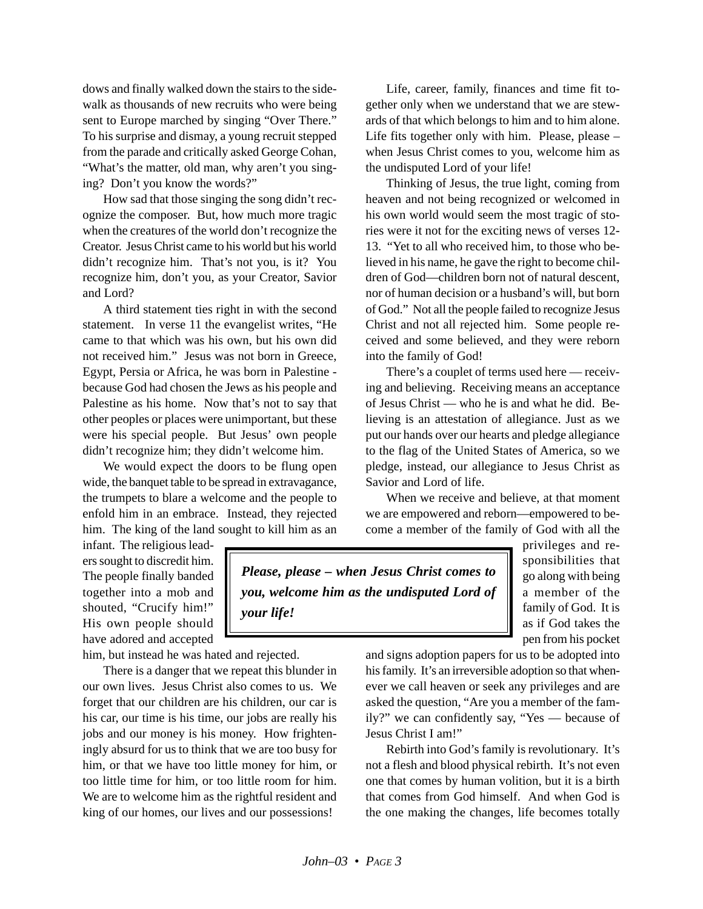dows and finally walked down the stairs to the sidewalk as thousands of new recruits who were being sent to Europe marched by singing "Over There." To his surprise and dismay, a young recruit stepped from the parade and critically asked George Cohan, "What's the matter, old man, why aren't you singing? Don't you know the words?"

How sad that those singing the song didn't recognize the composer. But, how much more tragic when the creatures of the world don't recognize the Creator. Jesus Christ came to his world but his world didn't recognize him. That's not you, is it? You recognize him, don't you, as your Creator, Savior and Lord?

A third statement ties right in with the second statement. In verse 11 the evangelist writes, "He came to that which was his own, but his own did not received him." Jesus was not born in Greece, Egypt, Persia or Africa, he was born in Palestine because God had chosen the Jews as his people and Palestine as his home. Now that's not to say that other peoples or places were unimportant, but these were his special people. But Jesus' own people didn't recognize him; they didn't welcome him.

We would expect the doors to be flung open wide, the banquet table to be spread in extravagance, the trumpets to blare a welcome and the people to enfold him in an embrace. Instead, they rejected him. The king of the land sought to kill him as an

Life, career, family, finances and time fit together only when we understand that we are stewards of that which belongs to him and to him alone. Life fits together only with him. Please, please – when Jesus Christ comes to you, welcome him as the undisputed Lord of your life!

Thinking of Jesus, the true light, coming from heaven and not being recognized or welcomed in his own world would seem the most tragic of stories were it not for the exciting news of verses 12- 13. "Yet to all who received him, to those who believed in his name, he gave the right to become children of God—children born not of natural descent, nor of human decision or a husband's will, but born of God." Not all the people failed to recognize Jesus Christ and not all rejected him. Some people received and some believed, and they were reborn into the family of God!

There's a couplet of terms used here — receiving and believing. Receiving means an acceptance of Jesus Christ — who he is and what he did. Believing is an attestation of allegiance. Just as we put our hands over our hearts and pledge allegiance to the flag of the United States of America, so we pledge, instead, our allegiance to Jesus Christ as Savior and Lord of life.

When we receive and believe, at that moment we are empowered and reborn—empowered to become a member of the family of God with all the

infant. The religious leaders sought to discredit him. The people finally banded together into a mob and shouted, "Crucify him!" His own people should have adored and accepted

him, but instead he was hated and rejected.

There is a danger that we repeat this blunder in our own lives. Jesus Christ also comes to us. We forget that our children are his children, our car is his car, our time is his time, our jobs are really his jobs and our money is his money. How frighteningly absurd for us to think that we are too busy for him, or that we have too little money for him, or too little time for him, or too little room for him. We are to welcome him as the rightful resident and king of our homes, our lives and our possessions!

*Please, please – when Jesus Christ comes to you, welcome him as the undisputed Lord of your life!*

privileges and responsibilities that go along with being a member of the family of God. It is as if God takes the pen from his pocket

and signs adoption papers for us to be adopted into his family. It's an irreversible adoption so that whenever we call heaven or seek any privileges and are asked the question, "Are you a member of the family?" we can confidently say, "Yes — because of Jesus Christ I am!"

Rebirth into God's family is revolutionary. It's not a flesh and blood physical rebirth. It's not even one that comes by human volition, but it is a birth that comes from God himself. And when God is the one making the changes, life becomes totally